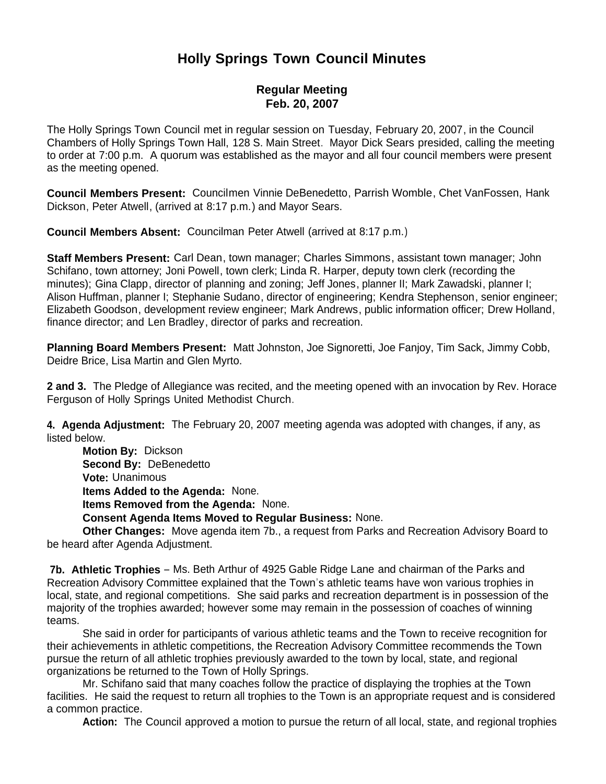## **Holly Springs Town Council Minutes**

## **Regular Meeting Feb. 20, 2007**

The Holly Springs Town Council met in regular session on Tuesday, February 20, 2007, in the Council Chambers of Holly Springs Town Hall, 128 S. Main Street. Mayor Dick Sears presided, calling the meeting to order at 7:00 p.m. A quorum was established as the mayor and all four council members were present as the meeting opened.

**Council Members Present:** Councilmen Vinnie DeBenedetto, Parrish Womble, Chet VanFossen, Hank Dickson, Peter Atwell, (arrived at 8:17 p.m.) and Mayor Sears.

**Council Members Absent:** Councilman Peter Atwell (arrived at 8:17 p.m.)

**Staff Members Present:** Carl Dean, town manager; Charles Simmons, assistant town manager; John Schifano, town attorney; Joni Powell, town clerk; Linda R. Harper, deputy town clerk (recording the minutes); Gina Clapp, director of planning and zoning; Jeff Jones, planner II; Mark Zawadski, planner I; Alison Huffman, planner I; Stephanie Sudano, director of engineering; Kendra Stephenson, senior engineer; Elizabeth Goodson, development review engineer; Mark Andrews, public information officer; Drew Holland, finance director; and Len Bradley, director of parks and recreation.

**Planning Board Members Present:** Matt Johnston, Joe Signoretti, Joe Fanjoy, Tim Sack, Jimmy Cobb, Deidre Brice, Lisa Martin and Glen Myrto.

**2 and 3.** The Pledge of Allegiance was recited, and the meeting opened with an invocation by Rev. Horace Ferguson of Holly Springs United Methodist Church.

**4. Agenda Adjustment:** The February 20, 2007 meeting agenda was adopted with changes, if any, as listed below.

 **Motion By:** Dickson **Second By:** DeBenedetto **Vote:** Unanimous **Items Added to the Agenda:** None. **Items Removed from the Agenda:** None. **Consent Agenda Items Moved to Regular Business:** None.

 **Other Changes:** Move agenda item 7b., a request from Parks and Recreation Advisory Board to be heard after Agenda Adjustment.

**7b. Athletic Trophies** – Ms. Beth Arthur of 4925 Gable Ridge Lane and chairman of the Parks and Recreation Advisory Committee explained that the Town's athletic teams have won various trophies in local, state, and regional competitions. She said parks and recreation department is in possession of the majority of the trophies awarded; however some may remain in the possession of coaches of winning teams.

She said in order for participants of various athletic teams and the Town to receive recognition for their achievements in athletic competitions, the Recreation Advisory Committee recommends the Town pursue the return of all athletic trophies previously awarded to the town by local, state, and regional organizations be returned to the Town of Holly Springs.

Mr. Schifano said that many coaches follow the practice of displaying the trophies at the Town facilities. He said the request to return all trophies to the Town is an appropriate request and is considered a common practice.

**Action:** The Council approved a motion to pursue the return of all local, state, and regional trophies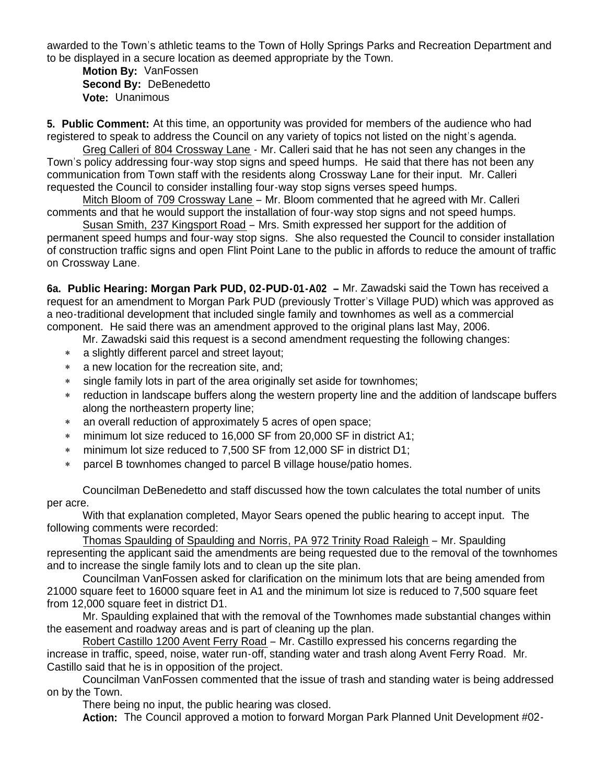awarded to the Town's athletic teams to the Town of Holly Springs Parks and Recreation Department and to be displayed in a secure location as deemed appropriate by the Town.

 **Motion By:** VanFossen **Second By:** DeBenedetto **Vote:** Unanimous

**5. Public Comment:** At this time, an opportunity was provided for members of the audience who had registered to speak to address the Council on any variety of topics not listed on the night's agenda.

 Greg Calleri of 804 Crossway Lane - Mr. Calleri said that he has not seen any changes in the Town's policy addressing four-way stop signs and speed humps. He said that there has not been any communication from Town staff with the residents along Crossway Lane for their input. Mr. Calleri requested the Council to consider installing four-way stop signs verses speed humps.

 Mitch Bloom of 709 Crossway Lane – Mr. Bloom commented that he agreed with Mr. Calleri comments and that he would support the installation of four-way stop signs and not speed humps.

 Susan Smith, 237 Kingsport Road – Mrs. Smith expressed her support for the addition of permanent speed humps and four-way stop signs. She also requested the Council to consider installation of construction traffic signs and open Flint Point Lane to the public in affords to reduce the amount of traffic on Crossway Lane.

**6a. Public Hearing: Morgan Park PUD, 02-PUD-01-A02 –** Mr. Zawadski said the Town has received a request for an amendment to Morgan Park PUD (previously Trotter's Village PUD) which was approved as a neo-traditional development that included single family and townhomes as well as a commercial component. He said there was an amendment approved to the original plans last May, 2006.

Mr. Zawadski said this request is a second amendment requesting the following changes:

- a slightly different parcel and street layout;
- a new location for the recreation site, and;
- single family lots in part of the area originally set aside for townhomes;
- reduction in landscape buffers along the western property line and the addition of landscape buffers along the northeastern property line;
- an overall reduction of approximately 5 acres of open space;
- minimum lot size reduced to 16,000 SF from 20,000 SF in district A1;
- minimum lot size reduced to 7,500 SF from 12,000 SF in district D1;
- parcel B townhomes changed to parcel B village house/patio homes.

Councilman DeBenedetto and staff discussed how the town calculates the total number of units per acre.

With that explanation completed, Mayor Sears opened the public hearing to accept input. The following comments were recorded:

Thomas Spaulding of Spaulding and Norris, PA 972 Trinity Road Raleigh – Mr. Spaulding representing the applicant said the amendments are being requested due to the removal of the townhomes and to increase the single family lots and to clean up the site plan.

Councilman VanFossen asked for clarification on the minimum lots that are being amended from 21000 square feet to 16000 square feet in A1 and the minimum lot size is reduced to 7,500 square feet from 12,000 square feet in district D1.

Mr. Spaulding explained that with the removal of the Townhomes made substantial changes within the easement and roadway areas and is part of cleaning up the plan.

Robert Castillo 1200 Avent Ferry Road – Mr. Castillo expressed his concerns regarding the increase in traffic, speed, noise, water run-off, standing water and trash along Avent Ferry Road. Mr. Castillo said that he is in opposition of the project.

Councilman VanFossen commented that the issue of trash and standing water is being addressed on by the Town.

There being no input, the public hearing was closed.

**Action:** The Council approved a motion to forward Morgan Park Planned Unit Development #02-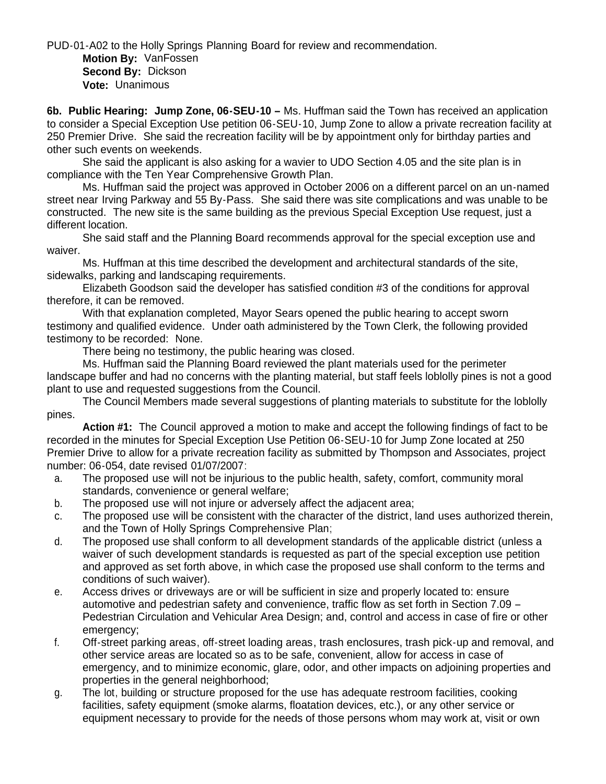PUD-01-A02 to the Holly Springs Planning Board for review and recommendation. **Motion By:** VanFossen

 **Second By:** Dickson **Vote:** Unanimous

**6b. Public Hearing: Jump Zone, 06-SEU-10 –** Ms. Huffman said the Town has received an application to consider a Special Exception Use petition 06-SEU-10, Jump Zone to allow a private recreation facility at 250 Premier Drive. She said the recreation facility will be by appointment only for birthday parties and other such events on weekends.

She said the applicant is also asking for a wavier to UDO Section 4.05 and the site plan is in compliance with the Ten Year Comprehensive Growth Plan.

Ms. Huffman said the project was approved in October 2006 on a different parcel on an un-named street near Irving Parkway and 55 By-Pass. She said there was site complications and was unable to be constructed. The new site is the same building as the previous Special Exception Use request, just a different location.

She said staff and the Planning Board recommends approval for the special exception use and waiver.

 Ms. Huffman at this time described the development and architectural standards of the site, sidewalks, parking and landscaping requirements.

 Elizabeth Goodson said the developer has satisfied condition #3 of the conditions for approval therefore, it can be removed.

With that explanation completed, Mayor Sears opened the public hearing to accept sworn testimony and qualified evidence. Under oath administered by the Town Clerk, the following provided testimony to be recorded: None.

There being no testimony, the public hearing was closed.

Ms. Huffman said the Planning Board reviewed the plant materials used for the perimeter landscape buffer and had no concerns with the planting material, but staff feels loblolly pines is not a good plant to use and requested suggestions from the Council.

The Council Members made several suggestions of planting materials to substitute for the loblolly pines.

 **Action #1:** The Council approved a motion to make and accept the following findings of fact to be recorded in the minutes for Special Exception Use Petition 06-SEU-10 for Jump Zone located at 250 Premier Drive to allow for a private recreation facility as submitted by Thompson and Associates, project number: 06-054, date revised 01/07/2007:

- a. The proposed use will not be injurious to the public health, safety, comfort, community moral standards, convenience or general welfare;
- b. The proposed use will not injure or adversely affect the adjacent area;
- c. The proposed use will be consistent with the character of the district, land uses authorized therein, and the Town of Holly Springs Comprehensive Plan;
- d. The proposed use shall conform to all development standards of the applicable district (unless a waiver of such development standards is requested as part of the special exception use petition and approved as set forth above, in which case the proposed use shall conform to the terms and conditions of such waiver).
- e. Access drives or driveways are or will be sufficient in size and properly located to: ensure automotive and pedestrian safety and convenience, traffic flow as set forth in Section 7.09 – Pedestrian Circulation and Vehicular Area Design; and, control and access in case of fire or other emergency;
- f. Off-street parking areas, off-street loading areas, trash enclosures, trash pick-up and removal, and other service areas are located so as to be safe, convenient, allow for access in case of emergency, and to minimize economic, glare, odor, and other impacts on adjoining properties and properties in the general neighborhood;
- g. The lot, building or structure proposed for the use has adequate restroom facilities, cooking facilities, safety equipment (smoke alarms, floatation devices, etc.), or any other service or equipment necessary to provide for the needs of those persons whom may work at, visit or own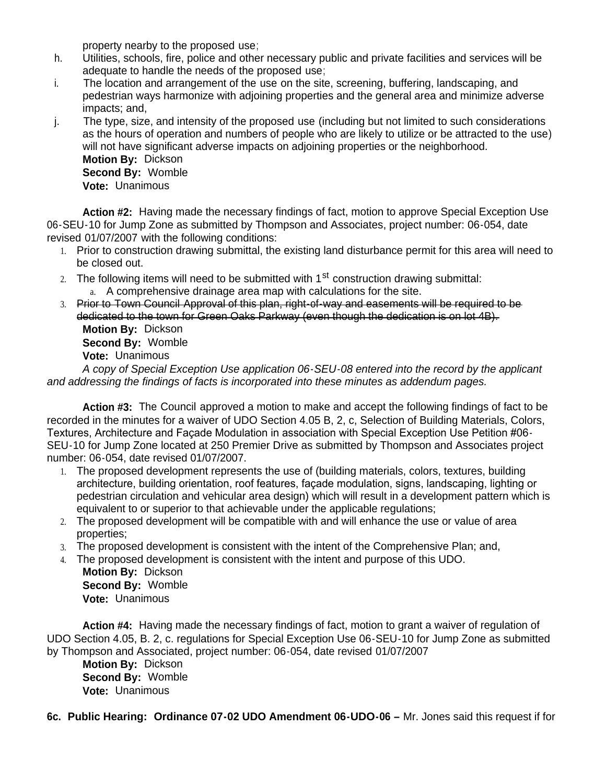property nearby to the proposed use;

- h. Utilities, schools, fire, police and other necessary public and private facilities and services will be adequate to handle the needs of the proposed use;
- i. The location and arrangement of the use on the site, screening, buffering, landscaping, and pedestrian ways harmonize with adjoining properties and the general area and minimize adverse impacts; and,
- j. The type, size, and intensity of the proposed use (including but not limited to such considerations as the hours of operation and numbers of people who are likely to utilize or be attracted to the use) will not have significant adverse impacts on adjoining properties or the neighborhood. **Motion By:** Dickson **Second By:** Womble **Vote:** Unanimous

 **Action #2:** Having made the necessary findings of fact, motion to approve Special Exception Use 06-SEU-10 for Jump Zone as submitted by Thompson and Associates, project number: 06-054, date revised 01/07/2007 with the following conditions:

- 1. Prior to construction drawing submittal, the existing land disturbance permit for this area will need to be closed out.
- 2. The following items will need to be submitted with  $1<sup>st</sup>$  construction drawing submittal: a. A comprehensive drainage area map with calculations for the site.
- 3. Prior to Town Council Approval of this plan, right-of-way and easements will be required to be dedicated to the town for Green Oaks Parkway (even though the dedication is on lot 4B). **Motion By:** Dickson **Second By:** Womble **Vote:** Unanimous

*A copy of Special Exception Use application 06-SEU-08 entered into the record by the applicant and addressing the findings of facts is incorporated into these minutes as addendum pages.*

**Action #3:** The Council approved a motion to make and accept the following findings of fact to be recorded in the minutes for a waiver of UDO Section 4.05 B, 2, c, Selection of Building Materials, Colors, Textures, Architecture and Façade Modulation in association with Special Exception Use Petition #06- SEU-10 for Jump Zone located at 250 Premier Drive as submitted by Thompson and Associates project number: 06-054, date revised 01/07/2007.

- 1. The proposed development represents the use of (building materials, colors, textures, building architecture, building orientation, roof features, façade modulation, signs, landscaping, lighting or pedestrian circulation and vehicular area design) which will result in a development pattern which is equivalent to or superior to that achievable under the applicable regulations;
- 2. The proposed development will be compatible with and will enhance the use or value of area properties;
- 3. The proposed development is consistent with the intent of the Comprehensive Plan; and,
- 4. The proposed development is consistent with the intent and purpose of this UDO. **Motion By:** Dickson **Second By:** Womble **Vote:** Unanimous

**Action #4:** Having made the necessary findings of fact, motion to grant a waiver of regulation of UDO Section 4.05, B. 2, c. regulations for Special Exception Use 06-SEU-10 for Jump Zone as submitted by Thompson and Associated, project number: 06-054, date revised 01/07/2007

**Motion By:** Dickson **Second By:** Womble **Vote:** Unanimous

**6c. Public Hearing: Ordinance 07-02 UDO Amendment 06-UDO-06 –** Mr. Jones said this request if for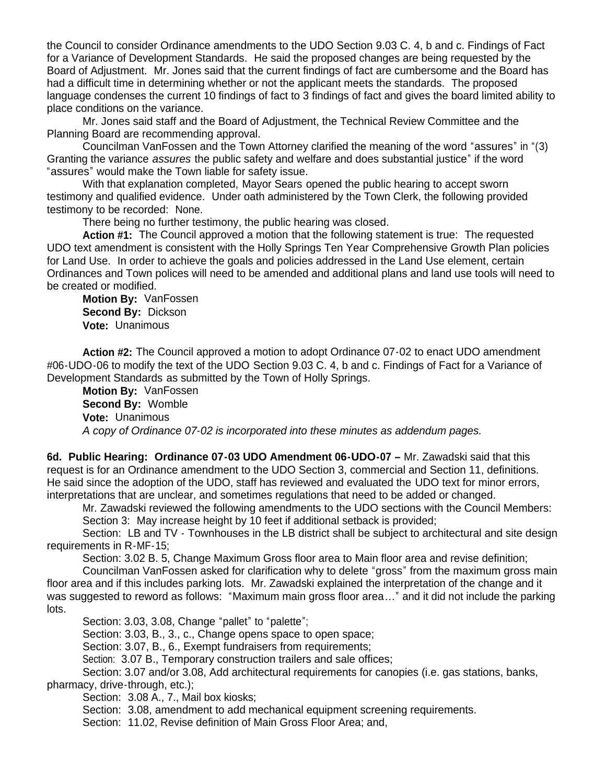the Council to consider Ordinance amendments to the UDO Section 9.03 C. 4, b and c. Findings of Fact for a Variance of Development Standards. He said the proposed changes are being requested by the Board of Adjustment. Mr. Jones said that the current findings of fact are cumbersome and the Board has had a difficult time in determining whether or not the applicant meets the standards. The proposed language condenses the current 10 findings of fact to 3 findings of fact and gives the board limited ability to place conditions on the variance.

Mr. Jones said staff and the Board of Adjustment, the Technical Review Committee and the Planning Board are recommending approval.

Councilman VanFossen and the Town Attorney clarified the meaning of the word "assures" in "(3) Granting the variance *assures* the public safety and welfare and does substantial justice" if the word "assures" would make the Town liable for safety issue.

With that explanation completed, Mayor Sears opened the public hearing to accept sworn testimony and qualified evidence. Under oath administered by the Town Clerk, the following provided testimony to be recorded: None.

There being no further testimony, the public hearing was closed.

**Action #1:** The Council approved a motion that the following statement is true: The requested UDO text amendment is consistent with the Holly Springs Ten Year Comprehensive Growth Plan policies for Land Use. In order to achieve the goals and policies addressed in the Land Use element, certain Ordinances and Town polices will need to be amended and additional plans and land use tools will need to be created or modified.

 **Motion By:** VanFossen **Second By:** Dickson **Vote:** Unanimous

**Action #2:** The Council approved a motion to adopt Ordinance 07-02 to enact UDO amendment #06-UDO-06 to modify the text of the UDO Section 9.03 C. 4, b and c. Findings of Fact for a Variance of Development Standards as submitted by the Town of Holly Springs.

 **Motion By:** VanFossen **Second By:** Womble **Vote:** Unanimous *A copy of Ordinance 07-02 is incorporated into these minutes as addendum pages.*

**6d. Public Hearing: Ordinance 07-03 UDO Amendment 06-UDO-07 –** Mr. Zawadski said that this request is for an Ordinance amendment to the UDO Section 3, commercial and Section 11, definitions. He said since the adoption of the UDO, staff has reviewed and evaluated the UDO text for minor errors, interpretations that are unclear, and sometimes regulations that need to be added or changed.

 Mr. Zawadski reviewed the following amendments to the UDO sections with the Council Members: Section 3: May increase height by 10 feet if additional setback is provided;

Section: LB and TV - Townhouses in the LB district shall be subject to architectural and site design requirements in R-MF-15;

Section: 3.02 B. 5, Change Maximum Gross floor area to Main floor area and revise definition;

 Councilman VanFossen asked for clarification why to delete "gross" from the maximum gross main floor area and if this includes parking lots. Mr. Zawadski explained the interpretation of the change and it was suggested to reword as follows: "Maximum main gross floor area…" and it did not include the parking lots.

Section: 3.03, 3.08, Change "pallet" to "palette";

Section: 3.03, B., 3., c., Change opens space to open space;

Section: 3.07, B., 6., Exempt fundraisers from requirements;

Section: 3.07 B., Temporary construction trailers and sale offices;

 Section: 3.07 and/or 3.08, Add architectural requirements for canopies (i.e. gas stations, banks, pharmacy, drive-through, etc.);

Section: 3.08 A., 7., Mail box kiosks;

Section: 3.08, amendment to add mechanical equipment screening requirements.

Section: 11.02, Revise definition of Main Gross Floor Area; and,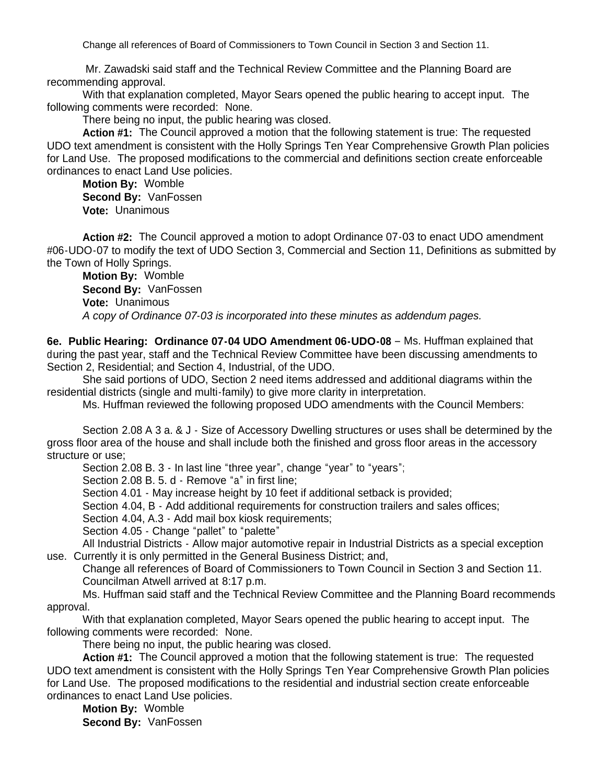Change all references of Board of Commissioners to Town Council in Section 3 and Section 11.

Mr. Zawadski said staff and the Technical Review Committee and the Planning Board are recommending approval.

With that explanation completed, Mayor Sears opened the public hearing to accept input. The following comments were recorded: None.

There being no input, the public hearing was closed.

**Action #1:** The Council approved a motion that the following statement is true: The requested UDO text amendment is consistent with the Holly Springs Ten Year Comprehensive Growth Plan policies for Land Use. The proposed modifications to the commercial and definitions section create enforceable ordinances to enact Land Use policies.

**Motion By:** Womble **Second By:** VanFossen **Vote:** Unanimous

**Action #2:** The Council approved a motion to adopt Ordinance 07-03 to enact UDO amendment #06-UDO-07 to modify the text of UDO Section 3, Commercial and Section 11, Definitions as submitted by the Town of Holly Springs.

 **Motion By:** Womble **Second By:** VanFossen **Vote:** Unanimous  *A copy of Ordinance 07-03 is incorporated into these minutes as addendum pages.*

**6e. Public Hearing: Ordinance 07-04 UDO Amendment 06-UDO-08** – Ms. Huffman explained that during the past year, staff and the Technical Review Committee have been discussing amendments to Section 2, Residential; and Section 4, Industrial, of the UDO.

She said portions of UDO, Section 2 need items addressed and additional diagrams within the residential districts (single and multi-family) to give more clarity in interpretation.

Ms. Huffman reviewed the following proposed UDO amendments with the Council Members:

Section 2.08 A 3 a. & J - Size of Accessory Dwelling structures or uses shall be determined by the gross floor area of the house and shall include both the finished and gross floor areas in the accessory structure or use;

Section 2.08 B. 3 - In last line "three year", change "year" to "years";

Section 2.08 B. 5. d - Remove "a" in first line:

Section 4.01 - May increase height by 10 feet if additional setback is provided;

Section 4.04, B - Add additional requirements for construction trailers and sales offices;

Section 4.04, A.3 - Add mail box kiosk requirements;

Section 4.05 - Change "pallet" to "palette"

All Industrial Districts - Allow major automotive repair in Industrial Districts as a special exception use. Currently it is only permitted in the General Business District; and,

Change all references of Board of Commissioners to Town Council in Section 3 and Section 11. Councilman Atwell arrived at 8:17 p.m.

Ms. Huffman said staff and the Technical Review Committee and the Planning Board recommends approval.

With that explanation completed, Mayor Sears opened the public hearing to accept input. The following comments were recorded: None.

There being no input, the public hearing was closed.

**Action #1:** The Council approved a motion that the following statement is true: The requested UDO text amendment is consistent with the Holly Springs Ten Year Comprehensive Growth Plan policies for Land Use. The proposed modifications to the residential and industrial section create enforceable ordinances to enact Land Use policies.

**Motion By:** Womble **Second By:** VanFossen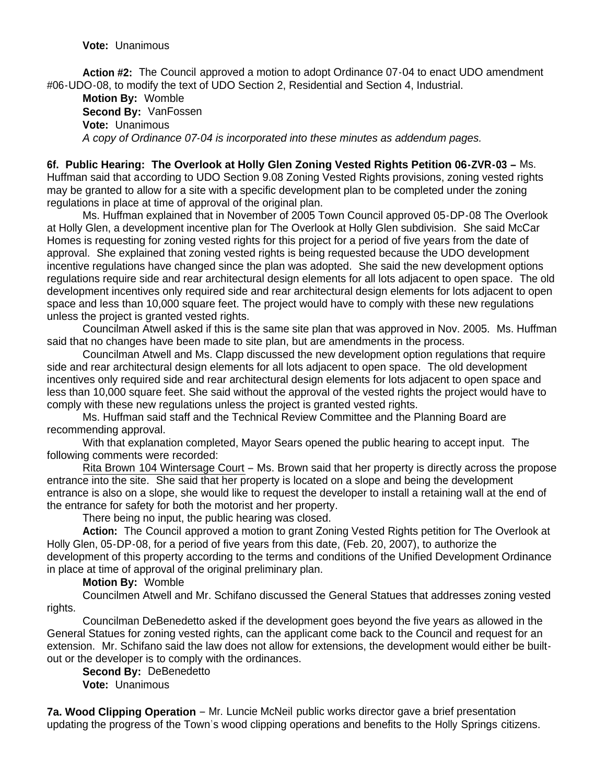**Vote:** Unanimous

**Action #2:** The Council approved a motion to adopt Ordinance 07-04 to enact UDO amendment #06-UDO-08, to modify the text of UDO Section 2, Residential and Section 4, Industrial.

 **Motion By:** Womble **Second By:** VanFossen **Vote:** Unanimous  *A copy of Ordinance 07-04 is incorporated into these minutes as addendum pages.*

**6f. Public Hearing: The Overlook at Holly Glen Zoning Vested Rights Petition 06-ZVR-03 –** Ms. Huffman said that according to UDO Section 9.08 Zoning Vested Rights provisions, zoning vested rights may be granted to allow for a site with a specific development plan to be completed under the zoning regulations in place at time of approval of the original plan.

Ms. Huffman explained that in November of 2005 Town Council approved 05-DP-08 The Overlook at Holly Glen, a development incentive plan for The Overlook at Holly Glen subdivision. She said McCar Homes is requesting for zoning vested rights for this project for a period of five years from the date of approval. She explained that zoning vested rights is being requested because the UDO development incentive regulations have changed since the plan was adopted. She said the new development options regulations require side and rear architectural design elements for all lots adjacent to open space. The old development incentives only required side and rear architectural design elements for lots adjacent to open space and less than 10,000 square feet. The project would have to comply with these new regulations unless the project is granted vested rights.

Councilman Atwell asked if this is the same site plan that was approved in Nov. 2005. Ms. Huffman said that no changes have been made to site plan, but are amendments in the process.

Councilman Atwell and Ms. Clapp discussed the new development option regulations that require side and rear architectural design elements for all lots adjacent to open space. The old development incentives only required side and rear architectural design elements for lots adjacent to open space and less than 10,000 square feet. She said without the approval of the vested rights the project would have to comply with these new regulations unless the project is granted vested rights.

Ms. Huffman said staff and the Technical Review Committee and the Planning Board are recommending approval.

With that explanation completed, Mayor Sears opened the public hearing to accept input. The following comments were recorded:

Rita Brown 104 Wintersage Court – Ms. Brown said that her property is directly across the propose entrance into the site. She said that her property is located on a slope and being the development entrance is also on a slope, she would like to request the developer to install a retaining wall at the end of the entrance for safety for both the motorist and her property.

There being no input, the public hearing was closed.

**Action:** The Council approved a motion to grant Zoning Vested Rights petition for The Overlook at Holly Glen, 05-DP-08, for a period of five years from this date, (Feb. 20, 2007), to authorize the development of this property according to the terms and conditions of the Unified Development Ordinance in place at time of approval of the original preliminary plan.

## **Motion By:** Womble

 Councilmen Atwell and Mr. Schifano discussed the General Statues that addresses zoning vested rights.

 Councilman DeBenedetto asked if the development goes beyond the five years as allowed in the General Statues for zoning vested rights, can the applicant come back to the Council and request for an extension. Mr. Schifano said the law does not allow for extensions, the development would either be builtout or the developer is to comply with the ordinances.

 **Second By:** DeBenedetto **Vote:** Unanimous

**7a. Wood Clipping Operation** – Mr. Luncie McNeil public works director gave a brief presentation updating the progress of the Town's wood clipping operations and benefits to the Holly Springs citizens.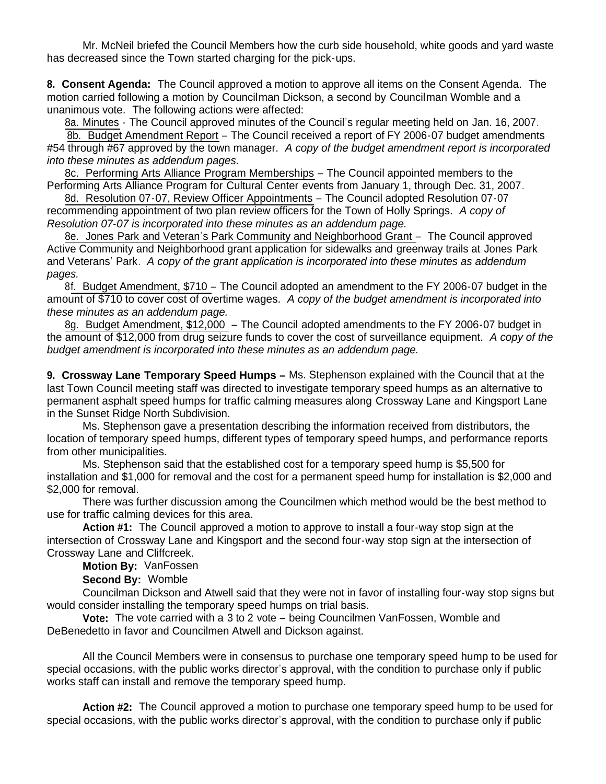Mr. McNeil briefed the Council Members how the curb side household, white goods and yard waste has decreased since the Town started charging for the pick-ups.

**8. Consent Agenda:** The Council approved a motion to approve all items on the Consent Agenda. The motion carried following a motion by Councilman Dickson, a second by Councilman Womble and a unanimous vote. The following actions were affected:

8a. Minutes - The Council approved minutes of the Council's regular meeting held on Jan. 16, 2007.

8b. Budget Amendment Report – The Council received a report of FY 2006-07 budget amendments #54 through #67 approved by the town manager. *A copy of the budget amendment report is incorporated into these minutes as addendum pages.*

 8c. Performing Arts Alliance Program Memberships – The Council appointed members to the Performing Arts Alliance Program for Cultural Center events from January 1, through Dec. 31, 2007.

 8d. Resolution 07-07, Review Officer Appointments – The Council adopted Resolution 07-07 recommending appointment of two plan review officers for the Town of Holly Springs. *A copy of Resolution 07-07 is incorporated into these minutes as an addendum page.*

 8e. Jones Park and Veteran's Park Community and Neighborhood Grant – The Council approved Active Community and Neighborhood grant application for sidewalks and greenway trails at Jones Park and Veterans' Park. *A copy of the grant application is incorporated into these minutes as addendum pages.*

 8f. Budget Amendment, \$710 – The Council adopted an amendment to the FY 2006-07 budget in the amount of \$710 to cover cost of overtime wages. *A copy of the budget amendment is incorporated into these minutes as an addendum page.*

 8g. Budget Amendment, \$12,000 – The Council adopted amendments to the FY 2006-07 budget in the amount of \$12,000 from drug seizure funds to cover the cost of surveillance equipment. *A copy of the budget amendment is incorporated into these minutes as an addendum page.*

**9. Crossway Lane Temporary Speed Humps –** Ms. Stephenson explained with the Council that at the last Town Council meeting staff was directed to investigate temporary speed humps as an alternative to permanent asphalt speed humps for traffic calming measures along Crossway Lane and Kingsport Lane in the Sunset Ridge North Subdivision.

Ms. Stephenson gave a presentation describing the information received from distributors, the location of temporary speed humps, different types of temporary speed humps, and performance reports from other municipalities.

 Ms. Stephenson said that the established cost for a temporary speed hump is \$5,500 for installation and \$1,000 for removal and the cost for a permanent speed hump for installation is \$2,000 and \$2,000 for removal.

 There was further discussion among the Councilmen which method would be the best method to use for traffic calming devices for this area.

 **Action #1:** The Council approved a motion to approve to install a four-way stop sign at the intersection of Crossway Lane and Kingsport and the second four-way stop sign at the intersection of Crossway Lane and Cliffcreek.

**Motion By:** VanFossen

**Second By:** Womble

 Councilman Dickson and Atwell said that they were not in favor of installing four-way stop signs but would consider installing the temporary speed humps on trial basis.

 **Vote:** The vote carried with a 3 to 2 vote – being Councilmen VanFossen, Womble and DeBenedetto in favor and Councilmen Atwell and Dickson against.

All the Council Members were in consensus to purchase one temporary speed hump to be used for special occasions, with the public works director's approval, with the condition to purchase only if public works staff can install and remove the temporary speed hump.

**Action #2:** The Council approved a motion to purchase one temporary speed hump to be used for special occasions, with the public works director's approval, with the condition to purchase only if public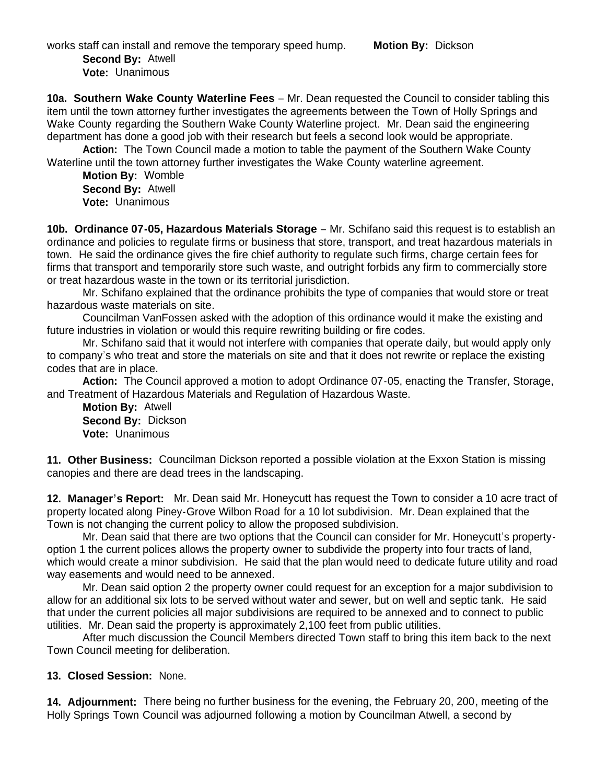works staff can install and remove the temporary speed hump. **Motion By:** Dickson

 **Second By:** Atwell **Vote:** Unanimous

**10a. Southern Wake County Waterline Fees** – Mr. Dean requested the Council to consider tabling this item until the town attorney further investigates the agreements between the Town of Holly Springs and Wake County regarding the Southern Wake County Waterline project. Mr. Dean said the engineering department has done a good job with their research but feels a second look would be appropriate.

**Action:** The Town Council made a motion to table the payment of the Southern Wake County Waterline until the town attorney further investigates the Wake County waterline agreement.

**Motion By:** Womble **Second By:** Atwell **Vote:** Unanimous

**10b. Ordinance 07-05, Hazardous Materials Storage** – Mr. Schifano said this request is to establish an ordinance and policies to regulate firms or business that store, transport, and treat hazardous materials in town. He said the ordinance gives the fire chief authority to regulate such firms, charge certain fees for firms that transport and temporarily store such waste, and outright forbids any firm to commercially store or treat hazardous waste in the town or its territorial jurisdiction.

 Mr. Schifano explained that the ordinance prohibits the type of companies that would store or treat hazardous waste materials on site.

Councilman VanFossen asked with the adoption of this ordinance would it make the existing and future industries in violation or would this require rewriting building or fire codes.

Mr. Schifano said that it would not interfere with companies that operate daily, but would apply only to company's who treat and store the materials on site and that it does not rewrite or replace the existing codes that are in place.

**Action:** The Council approved a motion to adopt Ordinance 07-05, enacting the Transfer, Storage, and Treatment of Hazardous Materials and Regulation of Hazardous Waste.

**Motion By:** Atwell **Second By:** Dickson **Vote:** Unanimous

**11. Other Business:** Councilman Dickson reported a possible violation at the Exxon Station is missing canopies and there are dead trees in the landscaping.

**12. Manager's Report:** Mr. Dean said Mr. Honeycutt has request the Town to consider a 10 acre tract of property located along Piney-Grove Wilbon Road for a 10 lot subdivision. Mr. Dean explained that the Town is not changing the current policy to allow the proposed subdivision.

Mr. Dean said that there are two options that the Council can consider for Mr. Honeycutt's propertyoption 1 the current polices allows the property owner to subdivide the property into four tracts of land, which would create a minor subdivision. He said that the plan would need to dedicate future utility and road way easements and would need to be annexed.

 Mr. Dean said option 2 the property owner could request for an exception for a major subdivision to allow for an additional six lots to be served without water and sewer, but on well and septic tank. He said that under the current policies all major subdivisions are required to be annexed and to connect to public utilities. Mr. Dean said the property is approximately 2,100 feet from public utilities.

 After much discussion the Council Members directed Town staff to bring this item back to the next Town Council meeting for deliberation.

## **13. Closed Session:** None.

**14. Adjournment:** There being no further business for the evening, the February 20, 200, meeting of the Holly Springs Town Council was adjourned following a motion by Councilman Atwell, a second by